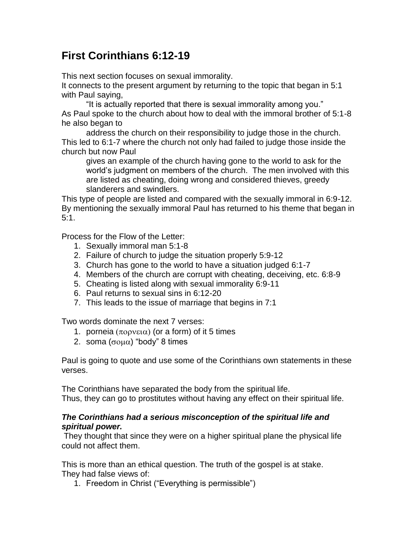## **First Corinthians 6:12-19**

This next section focuses on sexual immorality.

It connects to the present argument by returning to the topic that began in 5:1 with Paul saying,

"It is actually reported that there is sexual immorality among you." As Paul spoke to the church about how to deal with the immoral brother of 5:1-8 he also began to

address the church on their responsibility to judge those in the church. This led to 6:1-7 where the church not only had failed to judge those inside the church but now Paul

gives an example of the church having gone to the world to ask for the world's judgment on members of the church. The men involved with this are listed as cheating, doing wrong and considered thieves, greedy slanderers and swindlers.

This type of people are listed and compared with the sexually immoral in 6:9-12. By mentioning the sexually immoral Paul has returned to his theme that began in 5:1.

Process for the Flow of the Letter:

- 1. Sexually immoral man 5:1-8
- 2. Failure of church to judge the situation properly 5:9-12
- 3. Church has gone to the world to have a situation judged 6:1-7
- 4. Members of the church are corrupt with cheating, deceiving, etc. 6:8-9
- 5. Cheating is listed along with sexual immorality 6:9-11
- 6. Paul returns to sexual sins in 6:12-20
- 7. This leads to the issue of marriage that begins in 7:1

Two words dominate the next 7 verses:

- 1. porneia  $(\pi \circ \rho \vee \epsilon \circ \alpha)$  (or a form) of it 5 times
- 2. soma  $(\sigma \circ \mu \alpha)$  "body" 8 times

Paul is going to quote and use some of the Corinthians own statements in these verses.

The Corinthians have separated the body from the spiritual life. Thus, they can go to prostitutes without having any effect on their spiritual life.

## *The Corinthians had a serious misconception of the spiritual life and spiritual power.*

They thought that since they were on a higher spiritual plane the physical life could not affect them.

This is more than an ethical question. The truth of the gospel is at stake. They had false views of:

1. Freedom in Christ ("Everything is permissible")